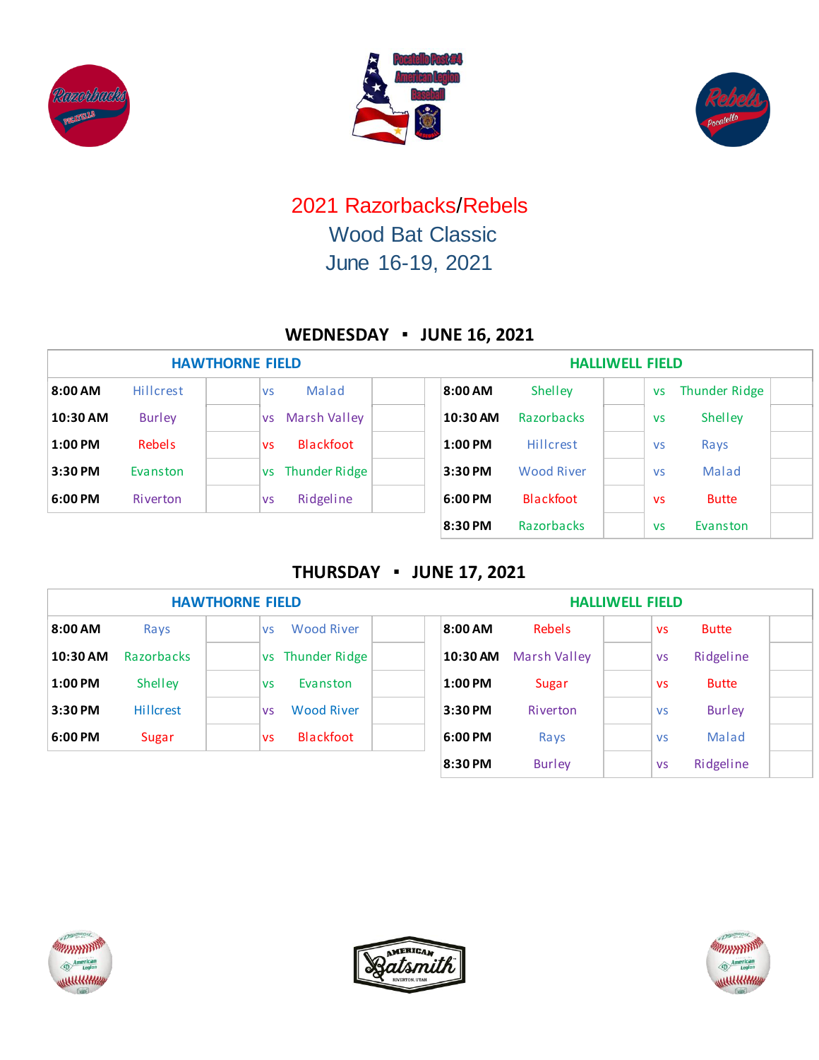





# 2021 Razorbacks/Rebels Wood Bat Classic June 16-19, 2021

## **WEDNESDAY ▪ JUNE 16, 2021**

| <b>HAWTHORNE FIELD</b> |                  |                                  | <b>HALLIWELL FIELD</b>                |                            |  |  |  |  |  |
|------------------------|------------------|----------------------------------|---------------------------------------|----------------------------|--|--|--|--|--|
| 8:00 AM                | <b>Hillcrest</b> | Malad<br><b>VS</b>               | 8:00 AM<br>Shelley                    | Thunder Ridge<br><b>VS</b> |  |  |  |  |  |
| 10:30 AM               | <b>Burley</b>    | <b>Marsh Valley</b><br><b>VS</b> | 10:30 AM<br><b>Razorbacks</b>         | Shelley<br><b>VS</b>       |  |  |  |  |  |
| $1:00$ PM              | Rebels           | Blackfoot<br><b>VS</b>           | $1:00$ PM<br>Hillcrest                | Rays<br><b>VS</b>          |  |  |  |  |  |
| $3:30$ PM              | Evanston         | vs Thunder Ridge                 | 3:30 PM<br><b>Wood River</b>          | Malad<br><b>VS</b>         |  |  |  |  |  |
| 6:00 PM                | Riverton         | Ridgeline<br><b>VS</b>           | <b>Blackfoot</b><br>$6:00 \text{ PM}$ | <b>Butte</b><br><b>VS</b>  |  |  |  |  |  |
|                        |                  |                                  | 8:30 PM<br>Razorbacks                 | Evanston<br><b>VS</b>      |  |  |  |  |  |

### **THURSDAY ▪ JUNE 17, 2021**

| <b>HAWTHORNE FIELD</b> |                  |                                | <b>HALLIWELL FIELD</b>     |                            |  |  |  |  |
|------------------------|------------------|--------------------------------|----------------------------|----------------------------|--|--|--|--|
| 8:00AM                 | Rays             | <b>Wood River</b><br><b>VS</b> | 8:00 AM<br><b>Rebels</b>   | <b>Butte</b><br><b>VS</b>  |  |  |  |  |
| 10:30 AM               | Razorbacks       | vs Thunder Ridge               | 10:30 AM<br>Marsh Valley   | Ridgeline<br><b>VS</b>     |  |  |  |  |
| $1:00$ PM              | Shelley          | Evanston<br><b>VS</b>          | $1:00$ PM<br>Sugar         | <b>Butte</b><br><b>VS</b>  |  |  |  |  |
| 3:30 PM                | <b>Hillcrest</b> | <b>Wood River</b><br><b>VS</b> | 3:30 PM<br><b>Riverton</b> | <b>Burley</b><br><b>VS</b> |  |  |  |  |
| 6:00 PM                | <b>Sugar</b>     | Blackfoot<br><b>VS</b>         | 6:00 PM<br>Rays            | Malad<br><b>VS</b>         |  |  |  |  |
|                        |                  |                                | 8:30 PM<br><b>Burley</b>   | Ridgeline<br><b>VS</b>     |  |  |  |  |





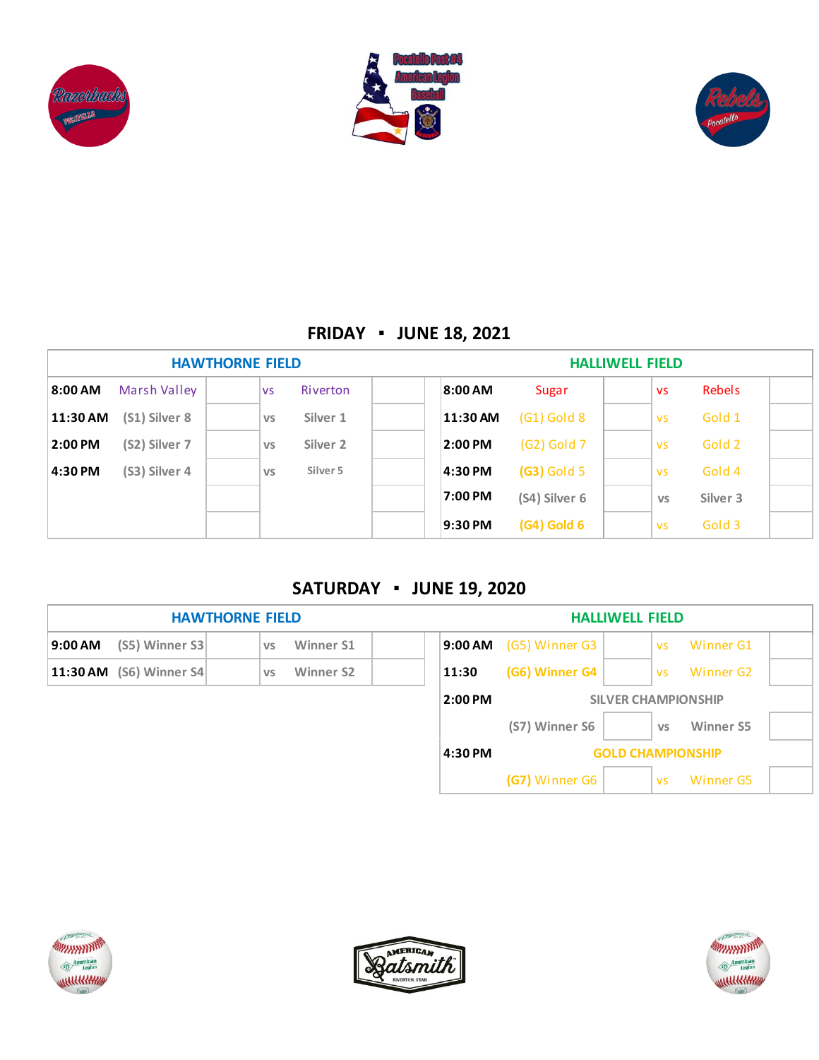





## **FRIDAY ▪ JUNE 18, 2021**

| <b>HAWTHORNE FIELD</b> |               |           | <b>HALLIWELL FIELD</b> |          |               |  |           |          |  |
|------------------------|---------------|-----------|------------------------|----------|---------------|--|-----------|----------|--|
| 8:00 AM                | Marsh Valley  | <b>VS</b> | <b>Riverton</b>        | 8:00 AM  | Sugar         |  | <b>VS</b> | Rebels   |  |
| 11:30 AM               | (S1) Silver 8 | <b>VS</b> | Silver 1               | 11:30 AM | $(G1)$ Gold 8 |  | <b>VS</b> | Gold 1   |  |
| 2:00 PM                | (S2) Silver 7 | <b>VS</b> | Silver <sub>2</sub>    | 2:00 PM  | (G2) Gold 7   |  | <b>VS</b> | Gold 2   |  |
| 4:30 PM                | (S3) Silver 4 | <b>VS</b> | Silver 5               | 4:30 PM  | (G3) Gold 5   |  | <b>VS</b> | Gold 4   |  |
|                        |               |           |                        | 7:00 PM  | (S4) Silver 6 |  | <b>VS</b> | Silver 3 |  |
|                        |               |           |                        | 9:30 PM  | $(G4)$ Gold 6 |  | <b>VS</b> | Gold 3   |  |

#### **SATURDAY ▪ JUNE 19, 2020**







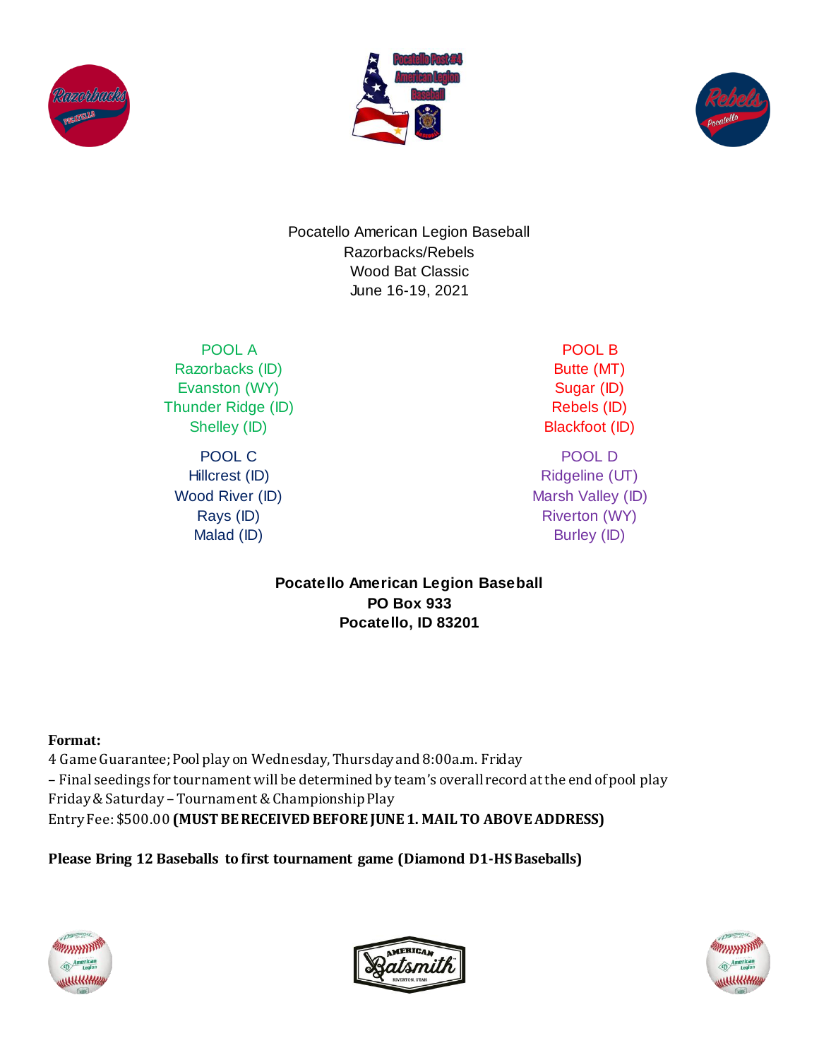





Pocatello American Legion Baseball Razorbacks/Rebels Wood Bat Classic June 16-19, 2021

POOL A Razorbacks (ID) Evanston (WY) Thunder Ridge (ID) Shelley (ID)

POOL C Hillcrest (ID) Wood River (ID) Rays (ID) Malad (ID)

POOL B Butte (MT) Sugar (ID) Rebels (ID) Blackfoot (ID)

POOL D Ridgeline (UT) Marsh Valley (ID) Riverton (WY) Burley (ID)

**Pocatello American Legion Baseball PO Box 933 Pocatello, ID 83201**

#### **Format:**

4 Game Guarantee; Pool play on Wednesday, Thursday and 8:00a.m. Friday – Final seedings for tournament will be determined by team's overall record at the end of pool play Friday & Saturday –Tournament & Championship Play Entry Fee: \$500.00 **(MUST BE RECEIVED BEFORE JUNE 1. MAIL TO ABOVE ADDRESS)**

**Please Bring 12 Baseballs to first tournament game (Diamond D1-HS Baseballs)**





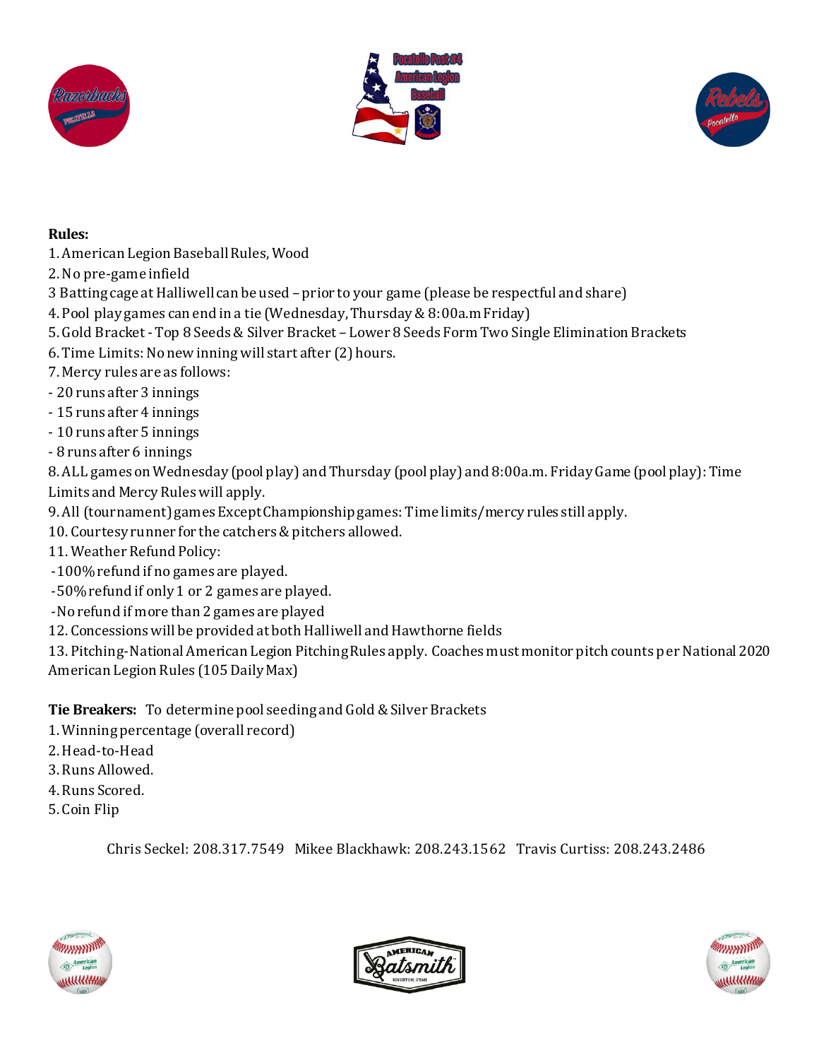





#### **Rules:**

- 1. American Legion Baseball Rules, Wood
- 2. No pre-game infield
- 3 Batting cage at Halliwell can be used prior to your game (please be respectful and share)
- 4. Pool play games can end in a tie (Wednesday, Thursday & 8:00a.mFriday)
- 5. Gold Bracket Top 8 Seeds & Silver Bracket Lower 8 Seeds Form Two Single Elimination Brackets
- 6. Time Limits: No new inning will start after (2) hours.
- 7. Mercy rules are as follows:
- 20 runs after 3 innings
- 15 runs after 4 innings
- 10 runs after 5 innings
- 8 runs after 6 innings

8. ALL games on Wednesday (pool play) and Thursday (pool play) and 8:00a.m. Friday Game (pool play): Time Limits and Mercy Rules will apply.

- 9. All (tournament) games Except Championship games: Time limits/mercy rules still apply.
- 10. Courtesy runner for the catchers & pitchers allowed.
- 11. Weather Refund Policy:
- -100% refund if no games are played.
- -50% refund if only 1 or 2 games are played.
- -No refund if more than 2 games are played
- 12. Concessions will be provided at both Halliwell and Hawthorne fields

13. Pitching-National American Legion Pitching Rules apply. Coaches must monitor pitch counts per National 2020 American Legion Rules (105 Daily Max)

**Tie Breakers:** To determine pool seeding and Gold & Silver Brackets

- 1. Winning percentage (overall record)
- 2. Head-to-Head
- 3. Runs Allowed.
- 4. Runs Scored.
- 5. Coin Flip

Chris Seckel: 208.317.7549 Mikee Blackhawk: 208.243.1562 Travis Curtiss: 208.243.2486